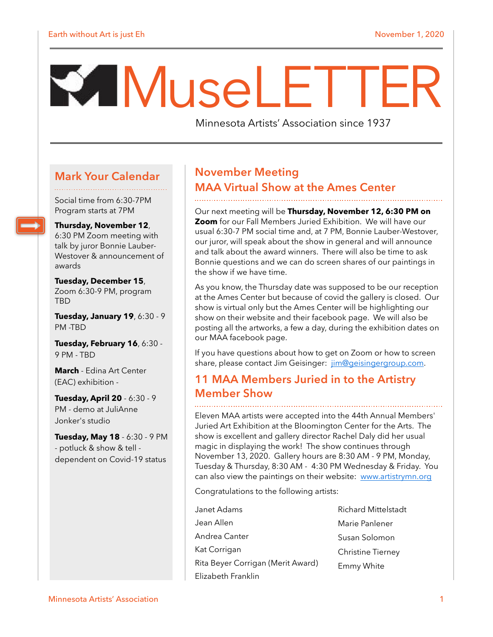# M useLETTER

Minnesota Artists' Association since 1937

#### **Mark Your Calendar**

Social time from 6:30-7PM Program starts at 7PM

**Thursday, November 12**,

6:30 PM Zoom meeting with talk by juror Bonnie Lauber-Westover & announcement of awards

**Tuesday, December 15**, Zoom 6:30-9 PM, program TBD

**Tuesday, January 19**, 6:30 - 9 PM -TBD

**Tuesday, February 16**, 6:30 - 9 PM - TBD

**March** - Edina Art Center (EAC) exhibition -

**Tuesday, April 20** - 6:30 - 9 PM - demo at JuliAnne Jonker's studio

**Tuesday, May 18** - 6:30 - 9 PM - potluck & show & tell dependent on Covid-19 status

## **November Meeting MAA Virtual Show at the Ames Center**

Our next meeting will be **Thursday, November 12, 6:30 PM on Zoom** for our Fall Members Juried Exhibition. We will have our usual 6:30-7 PM social time and, at 7 PM, Bonnie Lauber-Westover, our juror, will speak about the show in general and will announce and talk about the award winners. There will also be time to ask Bonnie questions and we can do screen shares of our paintings in the show if we have time.

As you know, the Thursday date was supposed to be our reception at the Ames Center but because of covid the gallery is closed. Our show is virtual only but the Ames Center will be highlighting our show on their website and their facebook page. We will also be posting all the artworks, a few a day, during the exhibition dates on our MAA facebook page.

If you have questions about how to get on Zoom or how to screen share, please contact Jim Geisinger: [jim@geisingergroup.com](mailto:jim@geisingergroup.com).

#### **11 MAA Members Juried in to the Artistry Member Show**

Eleven MAA artists were accepted into the 44th Annual Members' Juried Art Exhibition at the Bloomington Center for the Arts. The show is excellent and gallery director Rachel Daly did her usual magic in displaying the work! The show continues through November 13, 2020. Gallery hours are 8:30 AM - 9 PM, Monday, Tuesday & Thursday, 8:30 AM - 4:30 PM Wednesday & Friday. You can also view the paintings on their website: [www.artistrymn.org](http://www.artistrymn.org/)

Congratulations to the following artists:

- Janet Adams Jean Allen Andrea Canter Kat Corrigan Rita Beyer Corrigan (Merit Award) Elizabeth Franklin Richard Mittelstadt Marie Panlener Susan Solomon Christine Tierney Emmy White
- Minnesota Artists' Association 1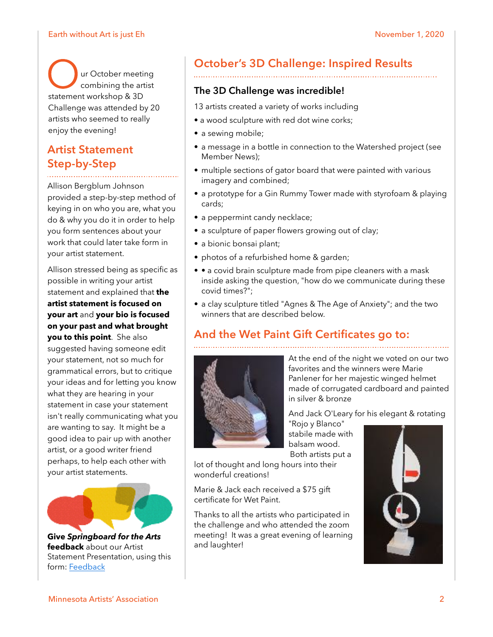#### Earth without Art is just Eh November 1, 2020

Our October meeting<br>statement workshop & 3D combining the artist Challenge was attended by 20 artists who seemed to really enjoy the evening!

#### **Artist Statement Step-by-Step**

Allison Bergblum Johnson provided a step-by-step method of keying in on who you are, what you do & why you do it in order to help you form sentences about your work that could later take form in your artist statement.

Allison stressed being as specific as possible in writing your artist statement and explained that **the artist statement is focused on your art** and **your bio is focused on your past and what brought you to this point**. She also suggested having someone edit your statement, not so much for grammatical errors, but to critique your ideas and for letting you know what they are hearing in your statement in case your statement isn't really communicating what you are wanting to say. It might be a good idea to pair up with another artist, or a good writer friend perhaps, to help each other with your artist statements.



**Give** *Springboard for the Arts* **feedback** about our Artist Statement Presentation, using this form: [Feedback](https://springboardforthearts.formstack.com/forms/event_evaluation_fy21)

## **October's 3D Challenge: Inspired Results**

#### **The 3D Challenge was incredible!**

- 13 artists created a variety of works including
- a wood sculpture with red dot wine corks;
- a sewing mobile;
- a message in a bottle in connection to the Watershed project (see Member News);
- multiple sections of gator board that were painted with various imagery and combined;
- a prototype for a Gin Rummy Tower made with styrofoam & playing cards;
- a peppermint candy necklace;
- a sculpture of paper flowers growing out of clay;
- a bionic bonsai plant;
- photos of a refurbished home & garden;
- • a covid brain sculpture made from pipe cleaners with a mask inside asking the question, "how do we communicate during these covid times?";
- a clay sculpture titled "Agnes & The Age of Anxiety"; and the two winners that are described below.

## **And the Wet Paint Gift Certificates go to:**



At the end of the night we voted on our two favorites and the winners were Marie Panlener for her majestic winged helmet made of corrugated cardboard and painted in silver & bronze

And Jack O'Leary for his elegant & rotating

"Rojo y Blanco" stabile made with balsam wood. Both artists put a

lot of thought and long hours into their wonderful creations!

Marie & Jack each received a \$75 gift certificate for Wet Paint.

Thanks to all the artists who participated in the challenge and who attended the zoom meeting! It was a great evening of learning and laughter!